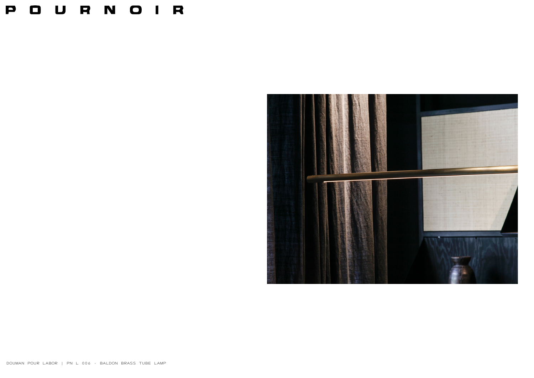## POURNOIR

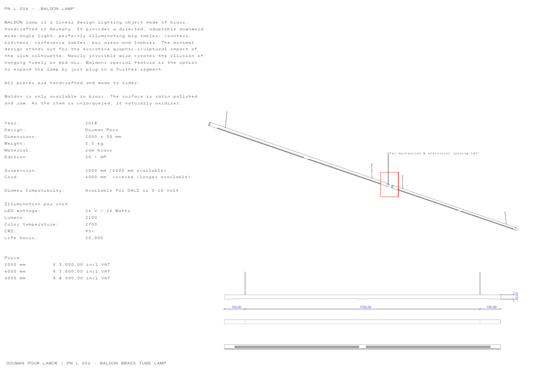Baldon is only available in brass. The surface is satin polished and raw. As the item is unlacquered, it naturally oxidizes.

## PN L 006 - , BALDON LAMP'

BALDON lamp is a linear design lighting object made of brass, handcrafted in Germany. It provides a directed, adaptable downward wide-angle light, perfectly illuminating big tables, counters, kitchens, conference tables, bar areas and lobbies. The minimal design stands out for the evocative graphic-sculptural impact of the slim silhouette. Nearly invisible wire creates the illusion of hanging freely in mid-air. Baldons special feature is the option to expand the lamp by just plug in a further segment.

All pieces are handcrafted and made to order.

| Ye@I:                                                        | 2018                |
|--------------------------------------------------------------|---------------------|
| Design:                                                      | Douman Pour         |
| Dimensions:                                                  | $2000 \times 30$ mm |
| Weight:                                                      | $5.5$ kg            |
| $M$ $\alpha$ $\pm$ e $\pm$ $\alpha$ $\alpha$ $\pm$ $\beta$ : | raw brass           |
| Edition:                                                     | $50 + AP$           |
|                                                              |                     |

| Suspension: |  | $2000$ mm (6000 mm available)      |
|-------------|--|------------------------------------|
| Cord:       |  | 4000 mm covered (longer available) |

Dimmer Compatibilty: Available for DALI or 0-10 Volt

## Illumination per unit

| LED wattage:       | 24 V / 26 Watts |
|--------------------|-----------------|
| Lumens:            | 2100            |
| Color temperature: | 2700            |
| CRI:               | $9.5 +$         |
| Life hours:        | 50.000          |

| Price   |  |                     |  |
|---------|--|---------------------|--|
| 2000 mm |  | € 3.000,00 incl.VAT |  |
| 4000 mm |  | € 5.600.00 incl.VAT |  |

|         |  | .                   |  |
|---------|--|---------------------|--|
| 6000 mm |  | € 8.000.00 incl.VAT |  |



 $\epsilon$ 



for mechanical & electrical joining 180°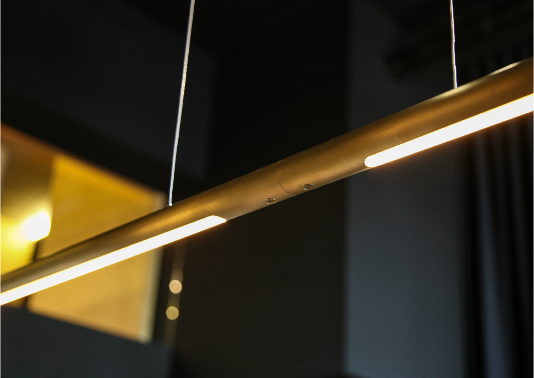